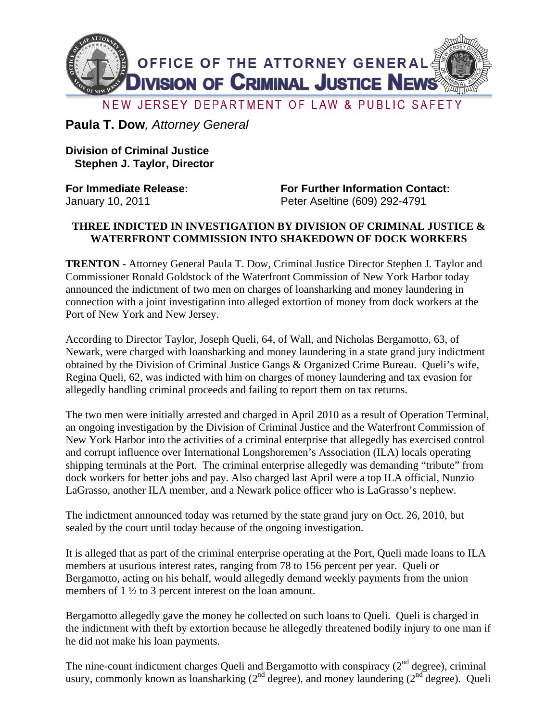

**Paula T. Dow***, Attorney General*

**Division of Criminal Justice Stephen J. Taylor, Director** 

**For Immediate Release: For Further Information Contact:**  January 10, 2011 Peter Aseltine (609) 292-4791

## **THREE INDICTED IN INVESTIGATION BY DIVISION OF CRIMINAL JUSTICE & WATERFRONT COMMISSION INTO SHAKEDOWN OF DOCK WORKERS**

**TRENTON -** Attorney General Paula T. Dow, Criminal Justice Director Stephen J. Taylor and Commissioner Ronald Goldstock of the Waterfront Commission of New York Harbor today announced the indictment of two men on charges of loansharking and money laundering in connection with a joint investigation into alleged extortion of money from dock workers at the Port of New York and New Jersey.

According to Director Taylor, Joseph Queli, 64, of Wall, and Nicholas Bergamotto, 63, of Newark, were charged with loansharking and money laundering in a state grand jury indictment obtained by the Division of Criminal Justice Gangs & Organized Crime Bureau. Queli's wife, Regina Queli, 62, was indicted with him on charges of money laundering and tax evasion for allegedly handling criminal proceeds and failing to report them on tax returns.

The two men were initially arrested and charged in April 2010 as a result of Operation Terminal, an ongoing investigation by the Division of Criminal Justice and the Waterfront Commission of New York Harbor into the activities of a criminal enterprise that allegedly has exercised control and corrupt influence over International Longshoremen's Association (ILA) locals operating shipping terminals at the Port. The criminal enterprise allegedly was demanding "tribute" from dock workers for better jobs and pay. Also charged last April were a top ILA official, Nunzio LaGrasso, another ILA member, and a Newark police officer who is LaGrasso's nephew.

The indictment announced today was returned by the state grand jury on Oct. 26, 2010, but sealed by the court until today because of the ongoing investigation.

It is alleged that as part of the criminal enterprise operating at the Port, Queli made loans to ILA members at usurious interest rates, ranging from 78 to 156 percent per year. Queli or Bergamotto, acting on his behalf, would allegedly demand weekly payments from the union members of 1  $\frac{1}{2}$  to 3 percent interest on the loan amount.

Bergamotto allegedly gave the money he collected on such loans to Queli. Queli is charged in the indictment with theft by extortion because he allegedly threatened bodily injury to one man if he did not make his loan payments.

The nine-count indictment charges Queli and Bergamotto with conspiracy  $(2<sup>nd</sup>$  degree), criminal usury, commonly known as loansharking  $(2^{nd}$  degree), and money laundering  $(2^{nd}$  degree). Queli